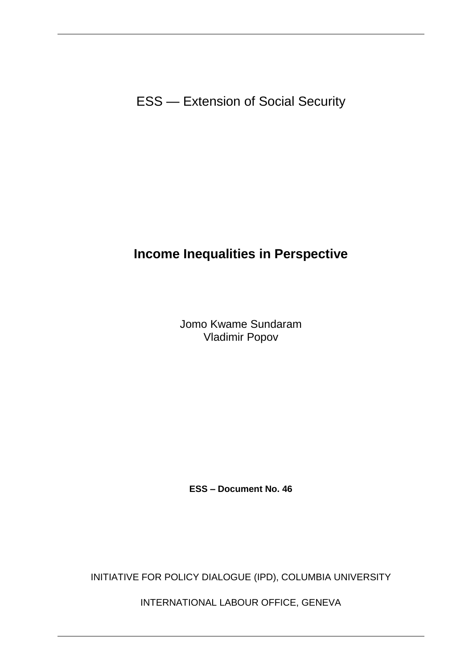ESS — Extension of Social Security

# **Income Inequalities in Perspective**

Jomo Kwame Sundaram Vladimir Popov

**ESS – Document No. 46**

INITIATIVE FOR POLICY DIALOGUE (IPD), COLUMBIA UNIVERSITY

INTERNATIONAL LABOUR OFFICE, GENEVA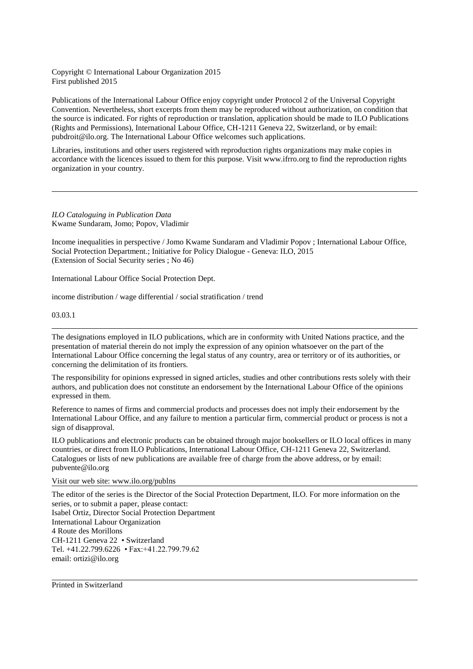Copyright © International Labour Organization 2015 First published 2015

Publications of the International Labour Office enjoy copyright under Protocol 2 of the Universal Copyright Convention. Nevertheless, short excerpts from them may be reproduced without authorization, on condition that the source is indicated. For rights of reproduction or translation, application should be made to ILO Publications (Rights and Permissions), International Labour Office, CH-1211 Geneva 22, Switzerland, or by email: pubdroit@ilo.org. The International Labour Office welcomes such applications.

Libraries, institutions and other users registered with reproduction rights organizations may make copies in accordance with the licences issued to them for this purpose. Visit www.ifrro.org to find the reproduction rights organization in your country.

*ILO Cataloguing in Publication Data* Kwame Sundaram, Jomo; Popov, Vladimir

Income inequalities in perspective / Jomo Kwame Sundaram and Vladimir Popov ; International Labour Office, Social Protection Department.; Initiative for Policy Dialogue - Geneva: ILO, 2015 (Extension of Social Security series ; No 46)

International Labour Office Social Protection Dept.

income distribution / wage differential / social stratification / trend

03.03.1

The designations employed in ILO publications, which are in conformity with United Nations practice, and the presentation of material therein do not imply the expression of any opinion whatsoever on the part of the International Labour Office concerning the legal status of any country, area or territory or of its authorities, or concerning the delimitation of its frontiers.

The responsibility for opinions expressed in signed articles, studies and other contributions rests solely with their authors, and publication does not constitute an endorsement by the International Labour Office of the opinions expressed in them.

Reference to names of firms and commercial products and processes does not imply their endorsement by the International Labour Office, and any failure to mention a particular firm, commercial product or process is not a sign of disapproval.

ILO publications and electronic products can be obtained through major booksellers or ILO local offices in many countries, or direct from ILO Publications, International Labour Office, CH-1211 Geneva 22, Switzerland. Catalogues or lists of new publications are available free of charge from the above address, or by email: pubvente@ilo.org

Visit our web site: [www.ilo.org/publns](http://www.ilo.org/publns)

The editor of the series is the Director of the Social Protection Department, ILO. For more information on the series, or to submit a paper, please contact: Isabel Ortiz, Director Social Protection Department International Labour Organization 4 Route des Morillons CH-1211 Geneva 22 • Switzerland Tel. +41.22.799.6226 • Fax:+41.22.799.79.62 email: ortizi@ilo.org

Printed in Switzerland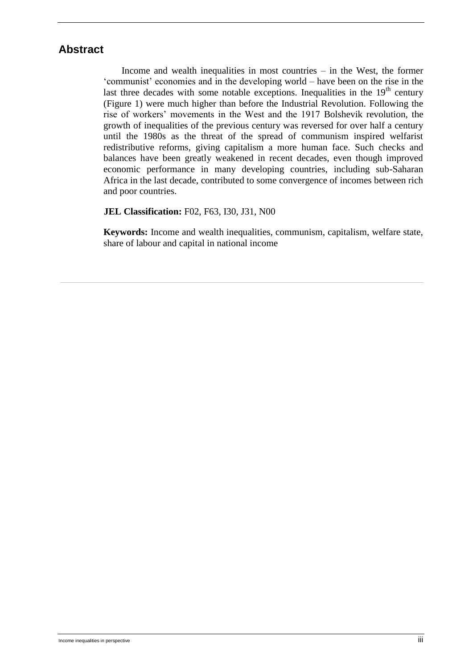## **Abstract**

Income and wealth inequalities in most countries – in the West, the former 'communist' economies and in the developing world – have been on the rise in the last three decades with some notable exceptions. Inequalities in the  $19<sup>th</sup>$  century (Figure 1) were much higher than before the Industrial Revolution. Following the rise of workers' movements in the West and the 1917 Bolshevik revolution, the growth of inequalities of the previous century was reversed for over half a century until the 1980s as the threat of the spread of communism inspired welfarist redistributive reforms, giving capitalism a more human face. Such checks and balances have been greatly weakened in recent decades, even though improved economic performance in many developing countries, including sub-Saharan Africa in the last decade, contributed to some convergence of incomes between rich and poor countries.

#### **JEL Classification:** F02, F63, I30, J31, N00

**Keywords:** Income and wealth inequalities, communism, capitalism, welfare state, share of labour and capital in national income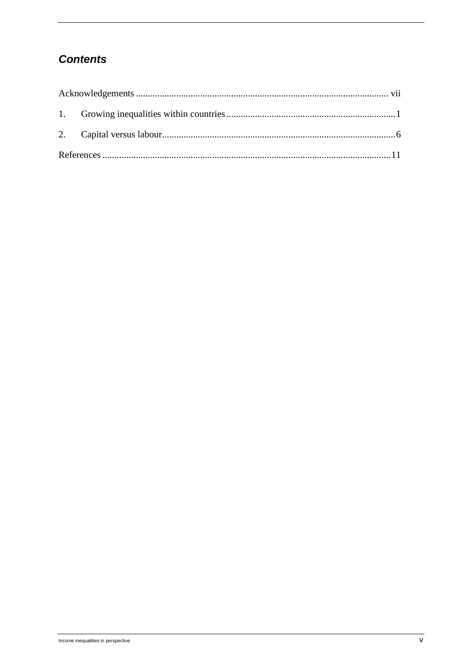# **Contents**

<span id="page-4-0"></span>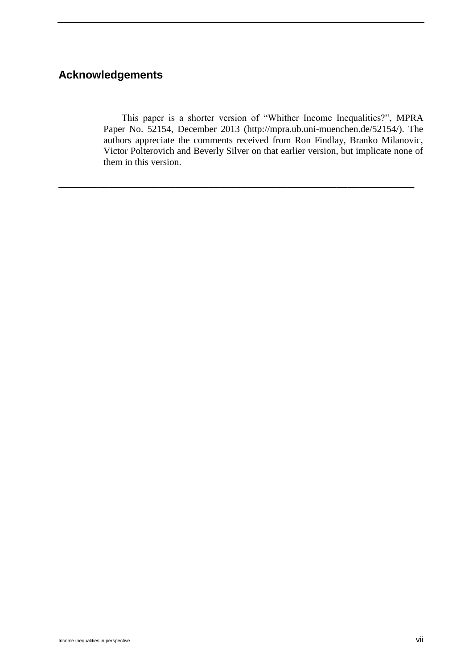## **Acknowledgements**

This paper is a shorter version of "Whither Income Inequalities?", MPRA Paper No. 52154, December 2013 (http://mpra.ub.uni-muenchen.de/52154/). The authors appreciate the comments received from Ron Findlay, Branko Milanovic, Victor Polterovich and Beverly Silver on that earlier version, but implicate none of them in this version.

\_\_\_\_\_\_\_\_\_\_\_\_\_\_\_\_\_\_\_\_\_\_\_\_\_\_\_\_\_\_\_\_\_\_\_\_\_\_\_\_\_\_\_\_\_\_\_\_\_\_\_\_\_\_\_\_\_\_\_\_\_\_\_\_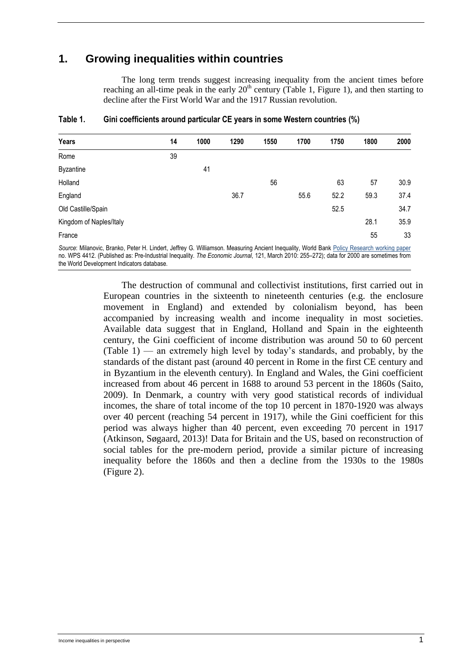## **1. Growing inequalities within countries**

The long term trends suggest increasing inequality from the ancient times before reaching an all-time peak in the early  $20<sup>th</sup>$  century (Table 1, Figure 1), and then starting to decline after the First World War and the 1917 Russian revolution.

| Years                   | 14 | 1000 | 1290 | 1550 | 1700 | 1750 | 1800 | 2000 |
|-------------------------|----|------|------|------|------|------|------|------|
| Rome                    | 39 |      |      |      |      |      |      |      |
| <b>Byzantine</b>        |    | 41   |      |      |      |      |      |      |
| Holland                 |    |      |      | 56   |      | 63   | 57   | 30.9 |
| England                 |    |      | 36.7 |      | 55.6 | 52.2 | 59.3 | 37.4 |
| Old Castille/Spain      |    |      |      |      |      | 52.5 |      | 34.7 |
| Kingdom of Naples/Italy |    |      |      |      |      |      | 28.1 | 35.9 |
| France                  |    |      |      |      |      |      | 55   | 33   |
|                         |    |      |      |      |      |      |      |      |

#### **Table 1. Gini coefficients around particular CE years in some Western countries (%)**

*Source*: Milanovic, Branko, Peter H. Lindert, Jeffrey G. Williamson. Measuring Ancient Inequality, World Bank [Policy Research working paper](http://econ.worldbank.org/external/default/main?pagePK=64166018&piPK=64165415&theSitePK=469372&colTitle=Policy%20Research%20working%20paper%20&ImgPagePK=6625650&siteName=EXTRESEARCHMODEL&menuPK=64216475&callBack=)  no. WPS 4412. (Published as: Pre-Industrial Inequality. *The Economic Journal*, 121, March 2010: 255–272); data for 2000 are sometimes from the World Development Indicators database.

> The destruction of communal and collectivist institutions, first carried out in European countries in the sixteenth to nineteenth centuries (e.g. the enclosure movement in England) and extended by colonialism beyond, has been accompanied by increasing wealth and income inequality in most societies. Available data suggest that in England, Holland and Spain in the eighteenth century, the Gini coefficient of income distribution was around 50 to 60 percent (Table 1) — an extremely high level by today's standards, and probably, by the standards of the distant past (around 40 percent in Rome in the first CE century and in Byzantium in the eleventh century). In England and Wales, the Gini coefficient increased from about 46 percent in 1688 to around 53 percent in the 1860s (Saito, 2009). In Denmark, a country with very good statistical records of individual incomes, the share of total income of the top 10 percent in 1870-1920 was always over 40 percent (reaching 54 percent in 1917), while the Gini coefficient for this period was always higher than 40 percent, even exceeding 70 percent in 1917 (Atkinson, Søgaard, 2013)! Data for Britain and the US, based on reconstruction of social tables for the pre-modern period, provide a similar picture of increasing inequality before the 1860s and then a decline from the 1930s to the 1980s (Figure 2).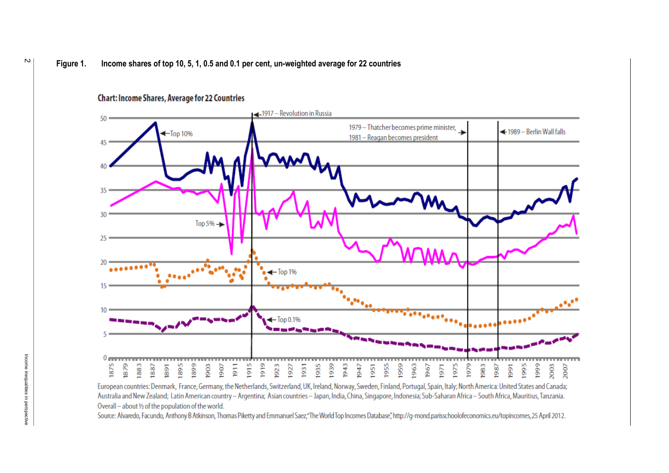#### **Figure 1. Income shares of top 10, 5, 1, 0.5 and 0.1 per cent, un-weighted average for 22 countries**

#### **Chart: Income Shares, Average for 22 Countries**



European countries: Denmark, France, Germany, the Netherlands, Switzerland, UK, Ireland, Norway, Sweden, Finland, Portugal, Spain, Italy; North America: United States and Canada; Australia and New Zealand; Latin American country - Argentina; Asian countries - Japan, India, China, Singapore, Indonesia; Sub-Saharan Africa - South Africa, Mauritius, Tanzania. Overall - about 1/2 of the population of the world.

Source: Alvaredo, Facundo, Anthony B Atkinson, Thomas Piketty and Emmanuel Saez,"The World Top Incomes Database", http://q-mond.parisschoolofeconomics.eu/topincomes, 25 April 2012.

 $\sim$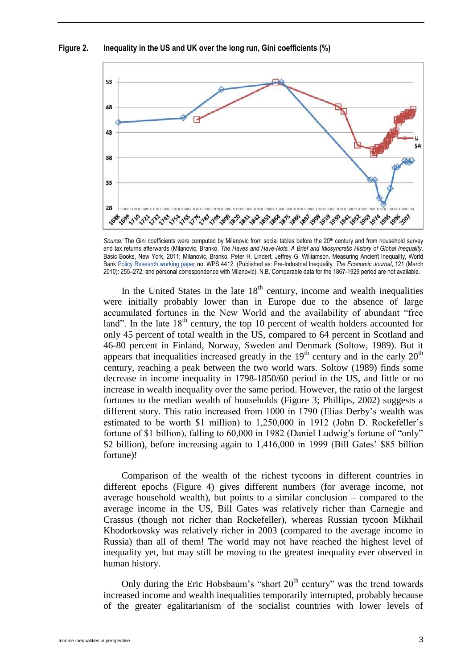**Figure 2. Inequality in the US and UK over the long run, Gini coefficients (%)**



Source: The Gini coefficients were computed by Milanovic from social tables before the 20<sup>th</sup> century and from household survey and tax returns afterwards (Milanovic, Branko. *The Haves and Have-Nots. A Brief and Idiosyncratic History of Global Inequality*. Basic Books, New York, 2011; Milanovic, Branko, Peter H. Lindert, Jeffrey G. Williamson. Measuring Ancient Inequality, World Bank Policy Research working paper no. WPS 4412. (Published as: Pre-Industrial Inequality. *The Economic Journal*, 121 (March 2010): 255–272; and personal correspondence with Milanovic). N.B. Comparable data for the 1867-1929 period are not available.

In the United States in the late  $18<sup>th</sup>$  century, income and wealth inequalities were initially probably lower than in Europe due to the absence of large accumulated fortunes in the New World and the availability of abundant "free land". In the late  $18<sup>th</sup>$  century, the top 10 percent of wealth holders accounted for only 45 percent of total wealth in the US, compared to 64 percent in Scotland and 46-80 percent in Finland, Norway, Sweden and Denmark (Soltow, 1989). But it appears that inequalities increased greatly in the  $19<sup>th</sup>$  century and in the early  $20<sup>th</sup>$ century, reaching a peak between the two world wars. Soltow (1989) finds some decrease in income inequality in 1798-1850/60 period in the US, and little or no increase in wealth inequality over the same period. However, the ratio of the largest fortunes to the median wealth of households (Figure 3; Phillips, 2002) suggests a different story. This ratio increased from 1000 in 1790 (Elias Derby's wealth was estimated to be worth \$1 million) to 1,250,000 in 1912 (John D. Rockefeller's fortune of \$1 billion), falling to 60,000 in 1982 (Daniel Ludwig's fortune of "only" \$2 billion), before increasing again to 1,416,000 in 1999 (Bill Gates' \$85 billion fortune)!

Comparison of the wealth of the richest tycoons in different countries in different epochs (Figure 4) gives different numbers (for average income, not average household wealth), but points to a similar conclusion – compared to the average income in the US, Bill Gates was relatively richer than Carnegie and Crassus (though not richer than Rockefeller), whereas Russian tycoon Mikhail Khodorkovsky was relatively richer in 2003 (compared to the average income in Russia) than all of them! The world may not have reached the highest level of inequality yet, but may still be moving to the greatest inequality ever observed in human history.

Only during the Eric Hobsbaum's "short  $20<sup>th</sup>$  century" was the trend towards increased income and wealth inequalities temporarily interrupted, probably because of the greater egalitarianism of the socialist countries with lower levels of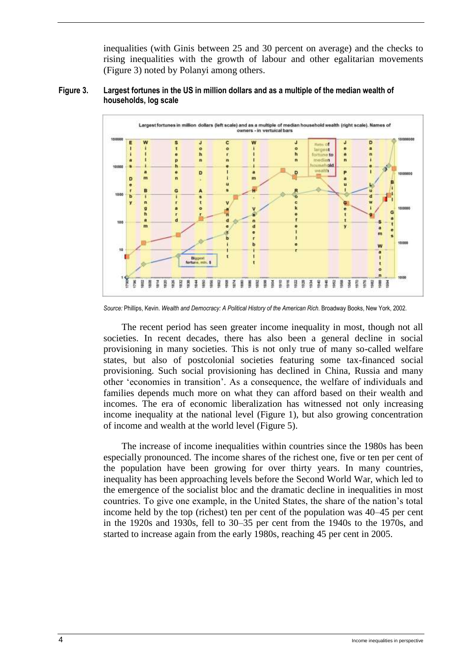inequalities (with Ginis between 25 and 30 percent on average) and the checks to rising inequalities with the growth of labour and other egalitarian movements (Figure 3) noted by Polanyi among others.





*Source:* Phillips, Kevin. *Wealth and Democracy: A Political History of the American Rich*. Broadway Books, New York, 2002.

The recent period has seen greater income inequality in most, though not all societies. In recent decades, there has also been a general decline in social provisioning in many societies. This is not only true of many so-called welfare states, but also of postcolonial societies featuring some tax-financed social provisioning. Such social provisioning has declined in China, Russia and many other 'economies in transition'. As a consequence, the welfare of individuals and families depends much more on what they can afford based on their wealth and incomes. The era of economic liberalization has witnessed not only increasing income inequality at the national level (Figure 1), but also growing concentration of income and wealth at the world level (Figure 5).

The increase of income inequalities within countries since the 1980s has been especially pronounced. The income shares of the richest one, five or ten per cent of the population have been growing for over thirty years. In many countries, inequality has been approaching levels before the Second World War, which led to the emergence of the socialist bloc and the dramatic decline in inequalities in most countries. To give one example, in the United States, the share of the nation's total income held by the top (richest) ten per cent of the population was 40–45 per cent in the 1920s and 1930s, fell to 30–35 per cent from the 1940s to the 1970s, and started to increase again from the early 1980s, reaching 45 per cent in 2005.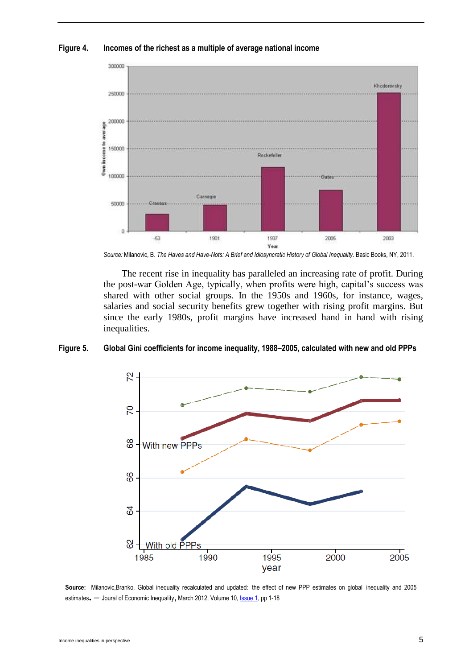

#### **Figure 4. Incomes of the richest as a multiple of average national income**

*Source:* Milanovic, B. *The Haves and Have-Nots: A Brief and Idiosyncratic History of Global Inequality*. Basic Books, NY, 2011.

The recent rise in inequality has paralleled an increasing rate of profit. During the post-war Golden Age, typically, when profits were high, capital's success was shared with other social groups. In the 1950s and 1960s, for instance, wages, salaries and social security benefits grew together with rising profit margins. But since the early 1980s, profit margins have increased hand in hand with rising inequalities.

#### **Figure 5. Global Gini coefficients for income inequality, 1988–2005, calculated with new and old PPPs**



**Source:** Milanovic,Branko. Global inequality recalculated and updated: the effect of new PPP estimates on global inequality and 2005 estimates. - Joural of Economic Inequality, March 2012, Volume 10[, Issue 1,](http://link.springer.com/journal/10888/10/1/page/1) pp 1-18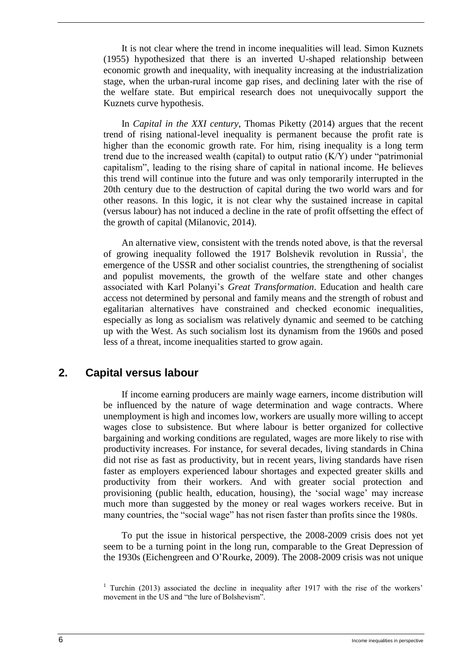It is not clear where the trend in income inequalities will lead. Simon Kuznets (1955) hypothesized that there is an inverted U-shaped relationship between economic growth and inequality, with inequality increasing at the industrialization stage, when the urban-rural income gap rises, and declining later with the rise of the welfare state. But empirical research does not unequivocally support the Kuznets curve hypothesis.

In *Capital in the XXI century*, Thomas Piketty (2014) argues that the recent trend of rising national-level inequality is permanent because the profit rate is higher than the economic growth rate. For him, rising inequality is a long term trend due to the increased wealth (capital) to output ratio (K/Y) under "patrimonial capitalism", leading to the rising share of capital in national income. He believes this trend will continue into the future and was only temporarily interrupted in the 20th century due to the destruction of capital during the two world wars and for other reasons. In this logic, it is not clear why the sustained increase in capital (versus labour) has not induced a decline in the rate of profit offsetting the effect of the growth of capital (Milanovic, 2014).

An alternative view, consistent with the trends noted above, is that the reversal of growing inequality followed the 1917 Bolshevik revolution in Russia<sup>1</sup>, the emergence of the USSR and other socialist countries, the strengthening of socialist and populist movements, the growth of the welfare state and other changes associated with Karl Polanyi's *Great Transformation*. Education and health care access not determined by personal and family means and the strength of robust and egalitarian alternatives have constrained and checked economic inequalities, especially as long as socialism was relatively dynamic and seemed to be catching up with the West. As such socialism lost its dynamism from the 1960s and posed less of a threat, income inequalities started to grow again.

### <span id="page-13-0"></span>**2. Capital versus labour**

If income earning producers are mainly wage earners, income distribution will be influenced by the nature of wage determination and wage contracts. Where unemployment is high and incomes low, workers are usually more willing to accept wages close to subsistence. But where labour is better organized for collective bargaining and working conditions are regulated, wages are more likely to rise with productivity increases. For instance, for several decades, living standards in China did not rise as fast as productivity, but in recent years, living standards have risen faster as employers experienced labour shortages and expected greater skills and productivity from their workers. And with greater social protection and provisioning (public health, education, housing), the 'social wage' may increase much more than suggested by the money or real wages workers receive. But in many countries, the "social wage" has not risen faster than profits since the 1980s.

To put the issue in historical perspective, the 2008-2009 crisis does not yet seem to be a turning point in the long run, comparable to the Great Depression of the 1930s (Eichengreen and [O'Rourke,](http://www.voxeu.org/index.php?q=node/703) 2009). The 2008-2009 crisis was not unique

<sup>&</sup>lt;sup>1</sup> Turchin (2013) associated the decline in inequality after 1917 with the rise of the workers' movement in the US and "the lure of Bolshevism".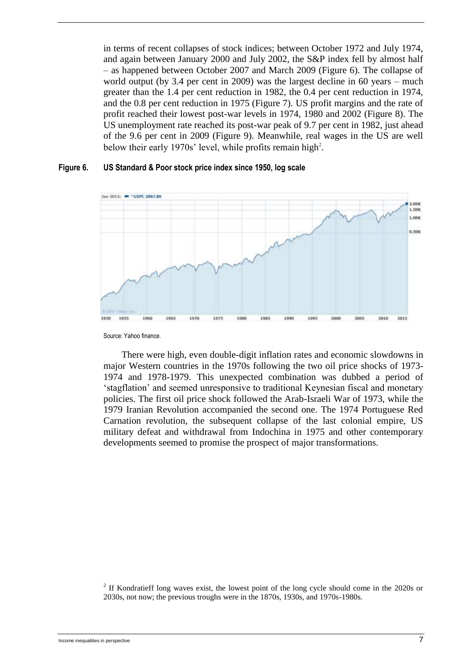in terms of recent collapses of stock indices; between October 1972 and July 1974, and again between January 2000 and July 2002, the S&P index fell by almost half – as happened between October 2007 and March 2009 (Figure 6). The collapse of world output (by 3.4 per cent in 2009) was the largest decline in 60 years – much greater than the 1.4 per cent reduction in 1982, the 0.4 per cent reduction in 1974, and the 0.8 per cent reduction in 1975 (Figure 7). US profit margins and the rate of profit reached their lowest post-war levels in 1974, 1980 and 2002 (Figure 8). The US unemployment rate reached its post-war peak of 9.7 per cent in 1982, just ahead of the 9.6 per cent in 2009 (Figure 9). Meanwhile, real wages in the US are well below their early 1970s' level, while profits remain high<sup>2</sup>.

#### **Figure 6. US Standard & Poor stock price index since 1950, log scale**



Source: Yahoo finance.

There were high, even double-digit inflation rates and economic slowdowns in major Western countries in the 1970s following the two oil price shocks of 1973- 1974 and 1978-1979. This unexpected combination was dubbed a period of 'stagflation' and seemed unresponsive to traditional Keynesian fiscal and monetary policies. The first oil price shock followed the Arab-Israeli War of 1973, while the 1979 Iranian Revolution accompanied the second one. The 1974 Portuguese Red Carnation revolution, the subsequent collapse of the last colonial empire, US military defeat and withdrawal from Indochina in 1975 and other contemporary developments seemed to promise the prospect of major transformations.

 $2$  If Kondratieff long waves exist, the lowest point of the long cycle should come in the 2020s or 2030s, not now; the previous troughs were in the 1870s, 1930s, and 1970s-1980s.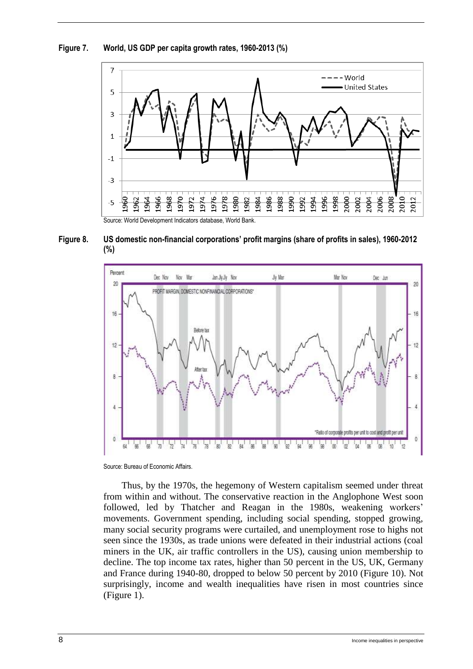**Figure 7. World, US GDP per capita growth rates, 1960-2013 (%)**



**Figure 8. US domestic non-financial corporations' profit margins (share of profits in sales), 1960-2012 (%)**



Source: Bureau of Economic Affairs.

Thus, by the 1970s, the hegemony of Western capitalism seemed under threat from within and without. The conservative reaction in the Anglophone West soon followed, led by Thatcher and Reagan in the 1980s, weakening workers' movements. Government spending, including social spending, stopped growing, many social security programs were curtailed, and unemployment rose to highs not seen since the 1930s, as trade unions were defeated in their industrial actions (coal miners in the UK, air traffic controllers in the US), causing union membership to decline. The top income tax rates, higher than 50 percent in the US, UK, Germany and France during 1940-80, dropped to below 50 percent by 2010 (Figure 10). Not surprisingly, income and wealth inequalities have risen in most countries since (Figure 1).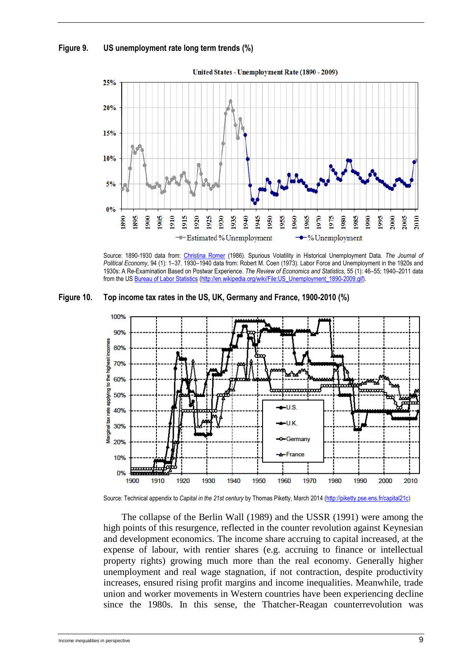#### **Figure 9. US unemployment rate long term trends (%)**



Source: 1890-1930 data from: [Christina Romer](http://en.wikipedia.org/wiki/Christina_Romer) (1986). Spurious Volatility in Historical Unemployment Data. *The Journal of Political Economy*, 94 (1): 1–37. 1930–1940 data from: Robert M. Coen (1973). Labor Force and Unemployment in the 1920s and 1930s: A Re-Examination Based on Postwar Experience. *The Review of Economics and Statistics,* 55 (1): 46–55; 1940–2011 data from the U[S Bureau of Labor Statistics](http://en.wikipedia.org/wiki/Bureau_of_Labor_Statistics) [\(http://en.wikipedia.org/wiki/File:US\\_Unemployment\\_1890-2009.gif\)](http://en.wikipedia.org/wiki/File:US_Unemployment_1890-2009.gif).

**Figure 10. Top income tax rates in the US, UK, Germany and France, 1900-2010 (%)** 



Source: Technical appendix to *Capital in the 21st century* by Thomas Piketty, March 2014 [\(http://piketty.pse.ens.fr/capital21c\)](http://piketty.pse.ens.fr/capital21c)

The collapse of the Berlin Wall (1989) and the USSR (1991) were among the high points of this resurgence, reflected in the counter revolution against Keynesian and development economics. The income share accruing to capital increased, at the expense of labour, with rentier shares (e.g. accruing to finance or intellectual property rights) growing much more than the real economy. Generally higher unemployment and real wage stagnation, if not contraction, despite productivity increases, ensured rising profit margins and income inequalities. Meanwhile, trade union and worker movements in Western countries have been experiencing decline since the 1980s. In this sense, the Thatcher-Reagan counterrevolution was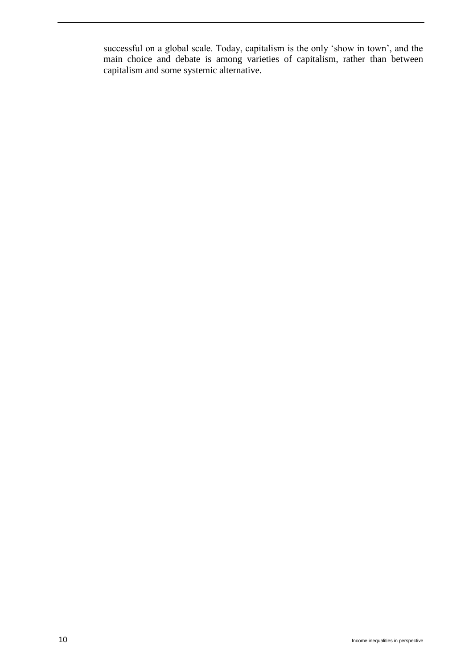successful on a global scale. Today, capitalism is the only 'show in town', and the main choice and debate is among varieties of capitalism, rather than between capitalism and some systemic alternative.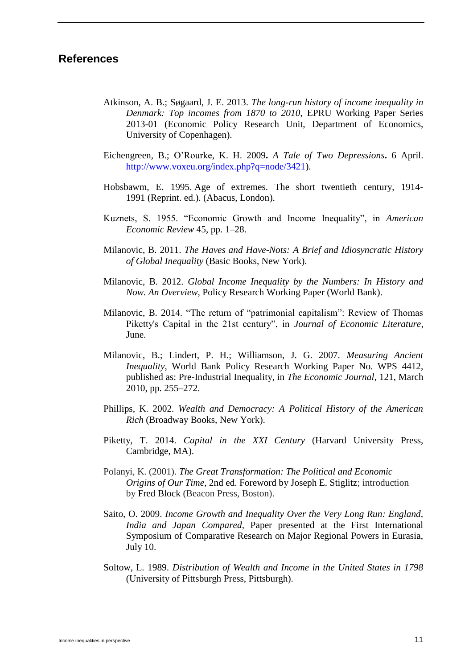### **References**

- Atkinson, A. B.; Søgaard, J. E. 2013. *The long-run history of income inequality in Denmark: Top incomes from 1870 to 2010,* EPRU Working Paper Series 2013-01 (Economic Policy Research Unit, Department of Economics, University of Copenhagen).
- Eichengreen, B.; [O'Rourke,](http://www.voxeu.org/index.php?q=node/703) K. H. 2009**.** *A Tale of Two Depressions***.** 6 April. [http://www.voxeu.org/index.php?q=node/3421\)](http://www.voxeu.org/index.php?q=node/3421).
- Hobsbawm, E. 1995. Age of extremes. The short twentieth century, 1914- 1991 (Reprint. ed.). (Abacus, London).
- Kuznets, S. 1955. "Economic Growth and Income Inequality", in *American Economic Review* 45, pp. 1–28.
- Milanovic, B. 2011. *The Haves and Have-Nots: A Brief and Idiosyncratic History of Global Inequality* (Basic Books, New York).
- Milanovic, B. 2012. *Global Income Inequality by the Numbers: In History and Now. An Overview,* Policy Research Working Paper (World Bank).
- Milanovic, B. 2014. "The return of "patrimonial capitalism": Review of Thomas Piketty's Capital in the 21st century", in *Journal of Economic Literature*, June.
- Milanovic, B.; Lindert, P. H.; Williamson, J. G. 2007. *Measuring Ancient Inequality*, World Bank [Policy Research Working Paper N](http://econ.worldbank.org/external/default/main?pagePK=64166018&piPK=64165415&theSitePK=469372&colTitle=Policy%20Research%20working%20paper%20&ImgPagePK=6625650&siteName=EXTRESEARCHMODEL&menuPK=64216475&callBack=)o. WPS 4412, published as: Pre-Industrial Inequality, in *The Economic Journal*, 121, March 2010, pp. 255–272.
- Phillips, K. 2002. *Wealth and Democracy: A Political History of the American Rich* (Broadway Books, New York).
- Piketty, T. 2014. *Capital in the XXI Century* (Harvard University Press, Cambridge, MA).
- Polanyi, K. (2001). *The Great Transformation: The Political and Economic Origins of Our Time*, 2nd ed. Foreword by Joseph E. Stiglitz; introduction by Fred Block (Beacon Press, Boston).
- Saito, O. 2009. *Income Growth and Inequality Over the Very Long Run: England, India and Japan Compared,* Paper presented at the First International Symposium of Comparative Research on Major Regional Powers in Eurasia, July 10.
- Soltow, L. 1989. *Distribution of Wealth and Income in the United States in 1798* (University of Pittsburgh Press, Pittsburgh).